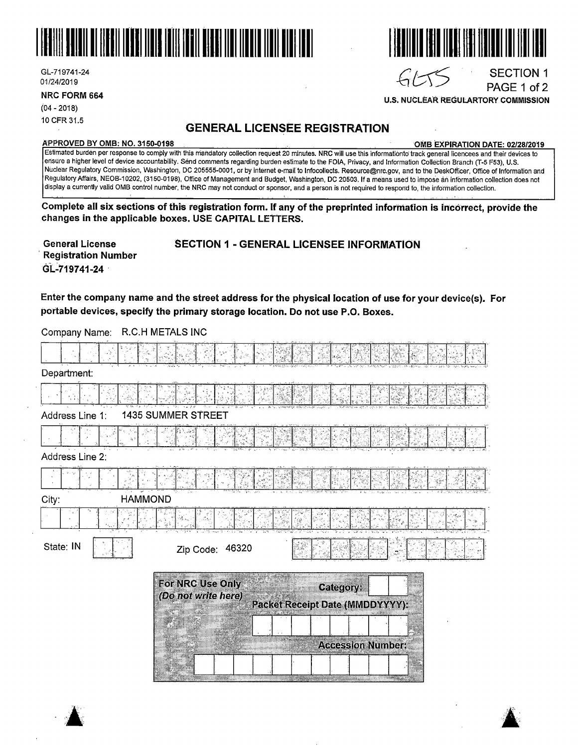

GL-719741-24 01/24/2019

**NRC FORM 664** 

(04 - 2018) 10 CFR 31.5

### **GENERAL LICENSEE REGISTRATION**

#### **APPROVED BY 0MB: NO. 3150-0198 0MB EXPIRATION DATE: 02/28/2019**

**U.S. NUCLEAR REGULARTORY COMMISSION** 

 $GLTS$ 

SECTION 1 PAGE 1 of 2

Estimated burden per response to comply with this mandatory collection request 20 minutes. NRC will use this informationto track general licencees and their devices to ensure a higher level of device accountability. Send comments regarding burden estimate to the FOIA, Privacy, and Information Collection Branch (T-5 F53), U.S. Nuclear Regulatory Commission, Washington, DC 205555-0001, or by internet e-mail to lnfocollects. Resource@nrc.gov, and to the DeskOfficer, Office of Information and Regulatory Affairs, NEOB~10202, (3150-0198), Office of Management and Budget, Washington, DC 20503. If a means used to impose ari information collection does not display a currently valid 0MB control number, the NRC may not conduct or sponsor, and a person is not required to respond to, the information collection.

**Complete all six sections of fhis registration form. If any of the preprinted information is incorrect, provide the changes in the applicable boxes. USE CAPITAL LEtTERS.** 

· **Registration Number**  GL-719741-24

#### **General License SECTION 1** - **GENERAL LICENSEE INFORMATION**

**Enter the company name and the street address for the physical location of use for your device(s). For portable devices, specify the primary storage location. Do not use P.O. Boxes.** 

Company Name: R.C.H METALS INC

| Department:             |                                                                                         |
|-------------------------|-----------------------------------------------------------------------------------------|
|                         |                                                                                         |
| Address Line 1:         | <b>1435 SUMMER STREET</b>                                                               |
|                         |                                                                                         |
| Address Line 2:         |                                                                                         |
|                         |                                                                                         |
| <b>HAMMOND</b><br>City: |                                                                                         |
|                         | . С.                                                                                    |
| State: IN               | Zip Code: 46320                                                                         |
|                         | For NRC Use Only<br>Category;<br>(Do not write here)<br>Packet Receipt Date (MMDDYYYY): |
|                         | <b>Accession Number:</b>                                                                |
|                         | <u>Tamanan yang ber</u>                                                                 |



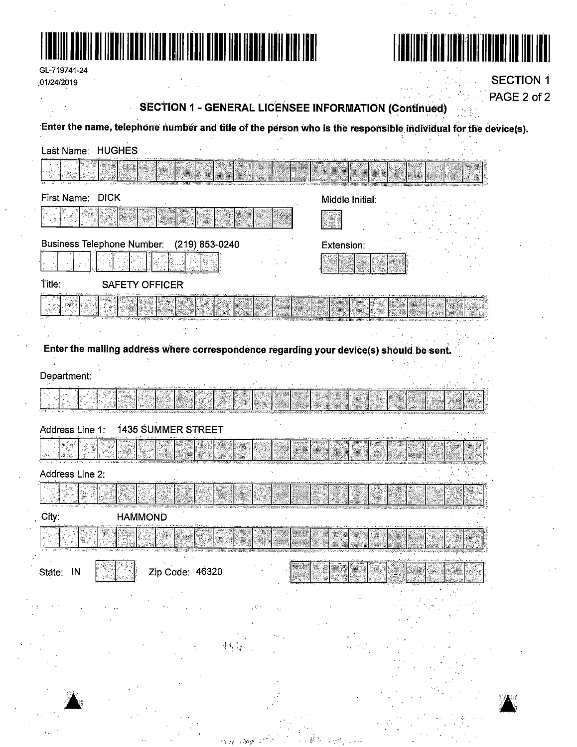



| GL-719741-24 |
|--------------|
|              |
| 01/24/2019   |

**SECTION 1** PAGE 2 of 2

# **SECTION 1 - GENERAL LICENSEE INFORMATION (Continued)**

Enter the name, telephone number and title of the person who is the responsible individual for the device(s).

| Last Name: HUGHES                         |                       |  |                                                                                         |  |  |
|-------------------------------------------|-----------------------|--|-----------------------------------------------------------------------------------------|--|--|
|                                           |                       |  |                                                                                         |  |  |
| First Name: DICK                          |                       |  | Middle Initial:                                                                         |  |  |
|                                           |                       |  |                                                                                         |  |  |
| Business Telephone Number: (219) 853-0240 |                       |  | Extension:                                                                              |  |  |
|                                           |                       |  |                                                                                         |  |  |
| Title:                                    | <b>SAFETY OFFICER</b> |  |                                                                                         |  |  |
|                                           |                       |  |                                                                                         |  |  |
|                                           |                       |  |                                                                                         |  |  |
|                                           |                       |  | Enter the mailing address where correspondence regarding your device(s) should be sent. |  |  |
| Department:                               |                       |  |                                                                                         |  |  |
|                                           |                       |  |                                                                                         |  |  |
| Address Line 1:                           | 1435 SUMMER STREET    |  |                                                                                         |  |  |
|                                           |                       |  |                                                                                         |  |  |
| Address Line 2:                           |                       |  |                                                                                         |  |  |
|                                           |                       |  |                                                                                         |  |  |
| City:                                     | <b>HAMMOND</b>        |  |                                                                                         |  |  |
|                                           |                       |  |                                                                                         |  |  |
| State: IN                                 | Zip Code: 46320       |  |                                                                                         |  |  |
|                                           |                       |  |                                                                                         |  |  |
|                                           |                       |  |                                                                                         |  |  |
|                                           |                       |  |                                                                                         |  |  |
|                                           |                       |  |                                                                                         |  |  |
|                                           |                       |  |                                                                                         |  |  |
|                                           |                       |  |                                                                                         |  |  |

- 35 hp. (36p) ≤°<sup>-2</sup> (1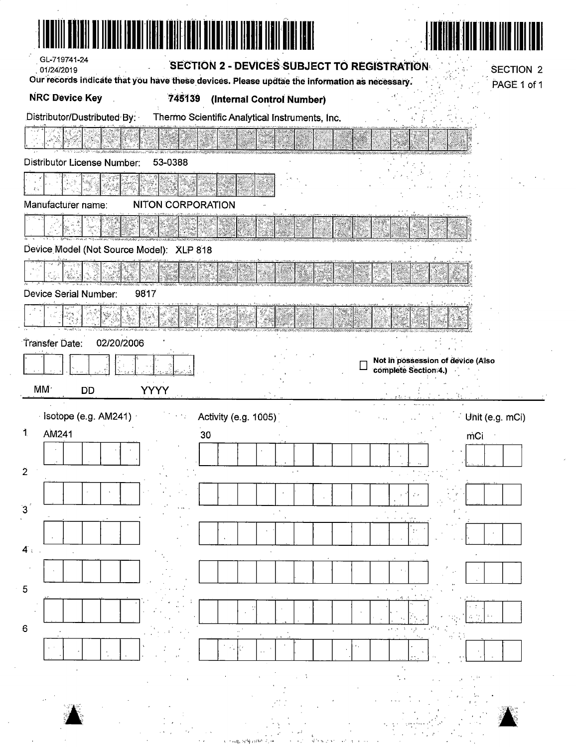| I NOVIN BELDI DI MUNICI I DUNI (FRI I DI) FRIN HUNT DI DI MUNICI MEN                          |                                   |
|-----------------------------------------------------------------------------------------------|-----------------------------------|
| GL-719741-24<br>SECTION 2 - DEVICES SUBJECT TO REGISTRATION<br>01/24/2019                     | <b>SECTION 2</b>                  |
| Our records indicate that you have these devices. Please updtae the information as necessary. | PAGE 1 of 1                       |
| <b>NRC Device Key</b><br>745139<br>(Internal Control Number)                                  |                                   |
| Distributor/Dustributed By:<br>Thermo Scientific Analytical Instruments, Inc.                 |                                   |
|                                                                                               |                                   |
| <b>Distributor License Number:</b><br>53-0388                                                 |                                   |
|                                                                                               |                                   |
| Manufacturer name:<br><b>NITON CORPORATION</b>                                                |                                   |
|                                                                                               |                                   |
| Device Model (Not Source Model): XLP 818                                                      |                                   |
|                                                                                               |                                   |
| 9817<br>Device Serial Number:                                                                 |                                   |
|                                                                                               |                                   |
| 02/20/2006<br>Transfer Date:                                                                  |                                   |
|                                                                                               | Not in possession of device (Also |
|                                                                                               | complete Section 4.)              |
| MM <sup>.</sup><br><b>YYYY</b><br><b>DD</b>                                                   |                                   |
| Isotope (e.g. AM241)<br>Activity (e.g. 1005)                                                  | Unit (e.g. mCi)                   |
| AM241<br>30                                                                                   | mCi                               |
| $\sim$                                                                                        |                                   |
| $\overline{2}$                                                                                |                                   |
| 3                                                                                             |                                   |
|                                                                                               |                                   |
| 4:                                                                                            |                                   |
|                                                                                               |                                   |
| 5                                                                                             |                                   |
|                                                                                               |                                   |
| $\,6\,$                                                                                       |                                   |
|                                                                                               |                                   |
|                                                                                               |                                   |
|                                                                                               |                                   |
|                                                                                               |                                   |
|                                                                                               |                                   |

 $\mathcal{A}^{(n)}$ 

 $\mathcal{A}^{\mathcal{A}}$ 

 $\sim$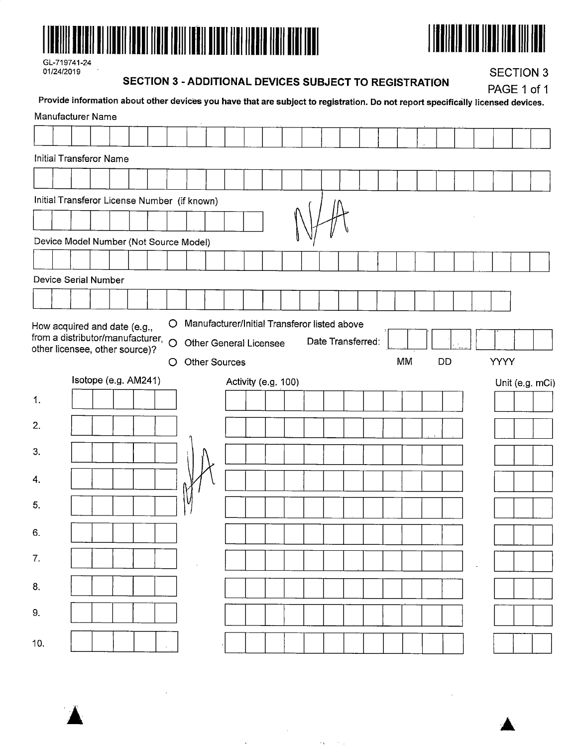

 $\sim$ 



 $\sim$ 

GL-719741-24<br>01/24/2019

#### **SECTION 3 - ADDITIONAL DEVICES SUBJECT TO REGISTRATION**

**SECTION 3** 

|     |                                                                                                      |                      |  |  |              | Provide information about other devices you have that are subject to registration. Do not report specifically licensed devices. |  |                     |  |  |                   |           |    |  | PAGE 1 of 1 |                 |
|-----|------------------------------------------------------------------------------------------------------|----------------------|--|--|--------------|---------------------------------------------------------------------------------------------------------------------------------|--|---------------------|--|--|-------------------|-----------|----|--|-------------|-----------------|
|     | Manufacturer Name                                                                                    |                      |  |  |              |                                                                                                                                 |  |                     |  |  |                   |           |    |  |             |                 |
|     | <b>Initial Transferor Name</b>                                                                       |                      |  |  |              |                                                                                                                                 |  |                     |  |  |                   |           |    |  |             |                 |
|     |                                                                                                      |                      |  |  |              |                                                                                                                                 |  |                     |  |  |                   |           |    |  |             |                 |
|     |                                                                                                      |                      |  |  |              | Initial Transferor License Number (if known)                                                                                    |  |                     |  |  |                   |           |    |  |             |                 |
|     |                                                                                                      |                      |  |  |              |                                                                                                                                 |  |                     |  |  |                   |           |    |  |             |                 |
|     |                                                                                                      |                      |  |  |              | Device Model Number (Not Source Model)                                                                                          |  |                     |  |  |                   |           |    |  |             |                 |
|     |                                                                                                      |                      |  |  |              |                                                                                                                                 |  |                     |  |  |                   |           |    |  |             |                 |
|     | Device Serial Number                                                                                 |                      |  |  |              |                                                                                                                                 |  |                     |  |  |                   |           |    |  |             |                 |
|     |                                                                                                      |                      |  |  |              |                                                                                                                                 |  |                     |  |  |                   |           |    |  |             |                 |
|     | How acquired and date (e.g.,<br>from a distributor/manufacturer, O<br>other licensee, other source)? |                      |  |  | $\circ$<br>O | Manufacturer/Initial Transferor listed above<br>Other General Licensee<br><b>Other Sources</b>                                  |  |                     |  |  | Date Transferred: | <b>MM</b> | DD |  | <b>YYYY</b> |                 |
|     |                                                                                                      | Isotope (e.g. AM241) |  |  |              |                                                                                                                                 |  | Activity (e.g. 100) |  |  |                   |           |    |  |             | Unit (e.g. mCi) |
| 1.  |                                                                                                      |                      |  |  |              |                                                                                                                                 |  |                     |  |  |                   |           |    |  |             |                 |
| 2.  |                                                                                                      |                      |  |  |              |                                                                                                                                 |  |                     |  |  |                   |           |    |  |             |                 |
| 3.  |                                                                                                      |                      |  |  |              |                                                                                                                                 |  |                     |  |  |                   |           |    |  |             |                 |
| 4.  |                                                                                                      |                      |  |  |              |                                                                                                                                 |  |                     |  |  |                   |           |    |  |             |                 |
| 5.  |                                                                                                      |                      |  |  |              |                                                                                                                                 |  |                     |  |  |                   |           |    |  |             |                 |
| 6.  |                                                                                                      |                      |  |  |              |                                                                                                                                 |  |                     |  |  |                   |           |    |  |             |                 |
| 7.  |                                                                                                      |                      |  |  |              |                                                                                                                                 |  |                     |  |  |                   |           |    |  |             |                 |
| 8.  |                                                                                                      |                      |  |  |              |                                                                                                                                 |  |                     |  |  |                   |           |    |  |             |                 |
| 9.  |                                                                                                      |                      |  |  |              |                                                                                                                                 |  |                     |  |  |                   |           |    |  |             |                 |
| 10. |                                                                                                      |                      |  |  |              |                                                                                                                                 |  |                     |  |  |                   |           |    |  |             |                 |

 $\sim 10^6$ 

 $\mathcal{L}^{\mathcal{L}}(\mathcal{L}^{\mathcal{L}})$  and  $\mathcal{L}^{\mathcal{L}}(\mathcal{L}^{\mathcal{L}})$  and  $\mathcal{L}^{\mathcal{L}}(\mathcal{L}^{\mathcal{L}})$ 

 $\overline{\phantom{a}}$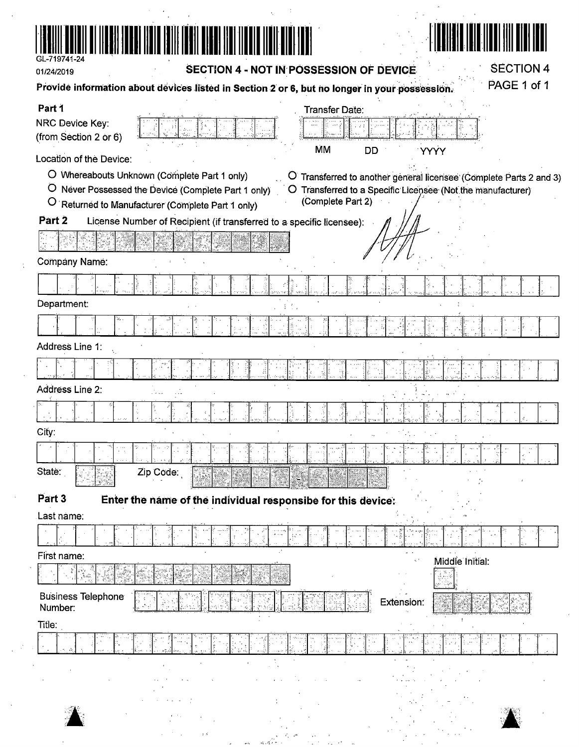

01/24/2019

### **SECTION 4 - NOT IN POSSESSION OF DEVICE**

 $\mathcal{F}(\mathcal{A})$  and  $\mathcal{F}(\mathcal{A})$ **SECTION 4** 

| Provide information about devices listed in Section 2 or 6, but no longer in your possession.                                                                                                     | PAGE 1 of 1                                                                                                                                          |
|---------------------------------------------------------------------------------------------------------------------------------------------------------------------------------------------------|------------------------------------------------------------------------------------------------------------------------------------------------------|
| Part 1<br>NRC Device Key:<br>(from Section 2 or 6)<br><b>MM</b>                                                                                                                                   | <b>Transfer Date:</b><br><b>DD</b><br><b>YYYY</b>                                                                                                    |
| Location of the Device:<br>O Whereabouts Unknown (Complete Part 1 only)<br>Ő<br>O Never Possessed the Device (Complete Part 1 only)<br>$\circ$<br>Returned to Manufacturer (Complete Part 1 only) | Transferred to another general licensee (Complete Parts 2 and 3)<br>O Transferred to a Specific Licensee (Not the manufacturer)<br>(Complete Part 2) |
| Part <sub>2</sub><br>License Number of Recipient (if transferred to a specific licensee):                                                                                                         |                                                                                                                                                      |
|                                                                                                                                                                                                   |                                                                                                                                                      |
| <b>Company Name:</b>                                                                                                                                                                              |                                                                                                                                                      |
|                                                                                                                                                                                                   |                                                                                                                                                      |
| Department:                                                                                                                                                                                       |                                                                                                                                                      |
|                                                                                                                                                                                                   |                                                                                                                                                      |
| Address Line 1:                                                                                                                                                                                   |                                                                                                                                                      |
|                                                                                                                                                                                                   |                                                                                                                                                      |
| Address Line 2:                                                                                                                                                                                   |                                                                                                                                                      |
|                                                                                                                                                                                                   |                                                                                                                                                      |
| City:                                                                                                                                                                                             |                                                                                                                                                      |
|                                                                                                                                                                                                   |                                                                                                                                                      |
| State:<br>Zip Code:                                                                                                                                                                               |                                                                                                                                                      |
| Part 3<br>Enter the name of the individual responsibe for this device:                                                                                                                            |                                                                                                                                                      |
| Last name:                                                                                                                                                                                        |                                                                                                                                                      |
|                                                                                                                                                                                                   |                                                                                                                                                      |
| First name:                                                                                                                                                                                       | Middle Initial:<br>$\mathbf{r}_\mathrm{c}$ .<br>- 78                                                                                                 |
| <b>Business Telephone</b><br>Number:                                                                                                                                                              | Extension:                                                                                                                                           |
| Title:                                                                                                                                                                                            |                                                                                                                                                      |
|                                                                                                                                                                                                   |                                                                                                                                                      |
|                                                                                                                                                                                                   |                                                                                                                                                      |
|                                                                                                                                                                                                   |                                                                                                                                                      |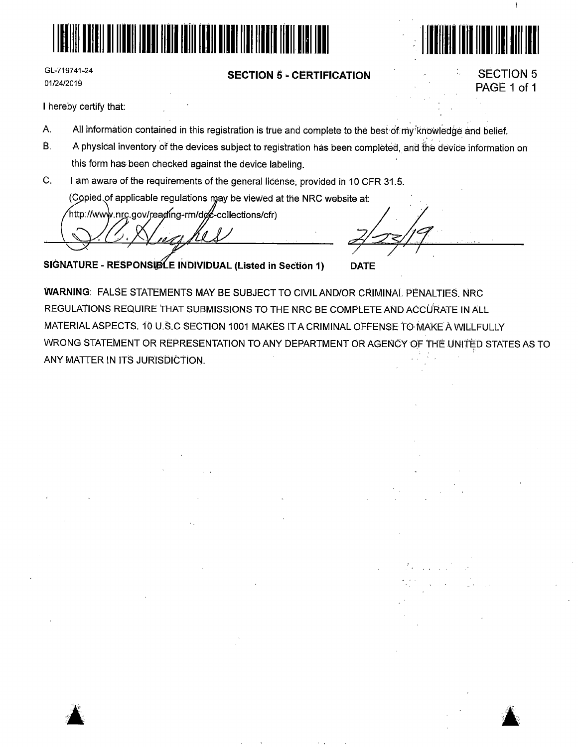

GL-719741-24 01/24/2019

#### **SECTION 5** - **CERTIFICATION**

## SECTION 5 PAGE 1 of 1

 $\mathfrak{h}$ 

.·. HHIIIII ml 11111111111111111

I hereby certify that:

 $\blacktriangle$ 

- A. All information contained in this registration is true and complete to the best-of:my knowledge and belief.
- B. A physical inventory of the devices subject to registration has been completed, and the device information on this form has been checked against the device labeling.
- C. I am aware of the requirements of the general license, provided in 10 CFR 31.5.

(Copied of applicable regulations may be viewed at the NRC website at:<br>http://www.nrc.gov/reading-rm/doc-collections/cfr)

/ *~.* 

**SIGNATURE - RESPONSIBLE INDIVIDUAL (Listed in Section 1) DATE** 

**WARNING:** FALSE STATEMENTS MAY BE SUBJECT TO CIVIL AND/OR CRIMINAL PENALTIES. NRC REGULATIONS REQUIRE THAT SUBMISSIONS TO THE NRC BE COMPLETE AND ACClJRATE IN ALL MATERIAL ASPECTS. 10 U.S.C SECTION 1001 MAKES IT A CRIMINAL OFFENSE TO MAKE A WILLFULLY WRONG STATEMENT OR REPRESENTATION TO ANY DEPARTMENT OR AGENCY OF THE UNITED STATES AS TO ANY MATTER IN ITS JURISDICTION.